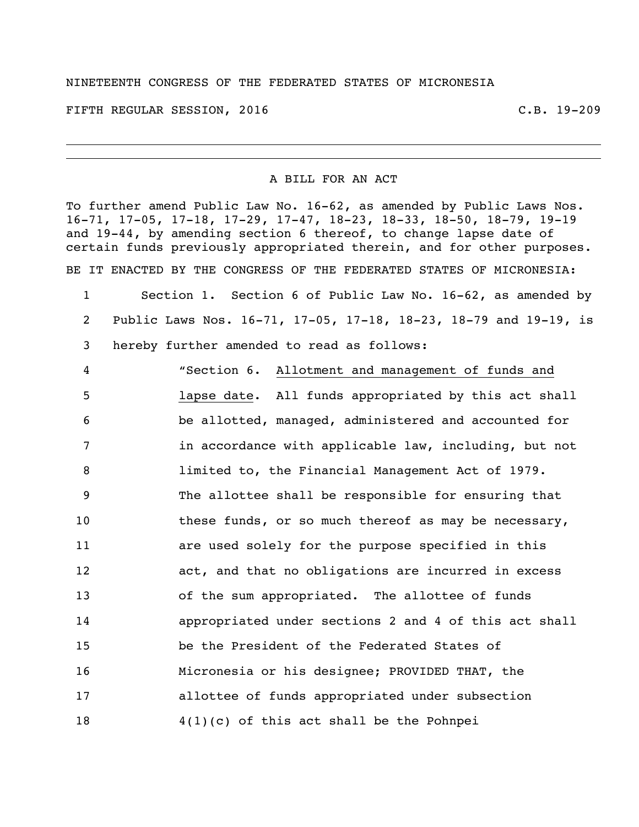## NINETEENTH CONGRESS OF THE FEDERATED STATES OF MICRONESIA

FIFTH REGULAR SESSION, 2016 C.B. 19-209

## A BILL FOR AN ACT

To further amend Public Law No. 16-62, as amended by Public Laws Nos. 16-71, 17-05, 17-18, 17-29, 17-47, 18-23, 18-33, 18-50, 18-79, 19-19 and 19-44, by amending section 6 thereof, to change lapse date of certain funds previously appropriated therein, and for other purposes.

BE IT ENACTED BY THE CONGRESS OF THE FEDERATED STATES OF MICRONESIA:

 Section 1. Section 6 of Public Law No. 16-62, as amended by Public Laws Nos. 16-71, 17-05, 17-18, 18-23, 18-79 and 19-19, is hereby further amended to read as follows:

 "Section 6. Allotment and management of funds and lapse date. All funds appropriated by this act shall be allotted, managed, administered and accounted for **in accordance with applicable law, including, but not**  limited to, the Financial Management Act of 1979. The allottee shall be responsible for ensuring that 10 these funds, or so much thereof as may be necessary, are used solely for the purpose specified in this act, and that no obligations are incurred in excess of the sum appropriated. The allottee of funds appropriated under sections 2 and 4 of this act shall be the President of the Federated States of Micronesia or his designee; PROVIDED THAT, the allottee of funds appropriated under subsection 4(1)(c) of this act shall be the Pohnpei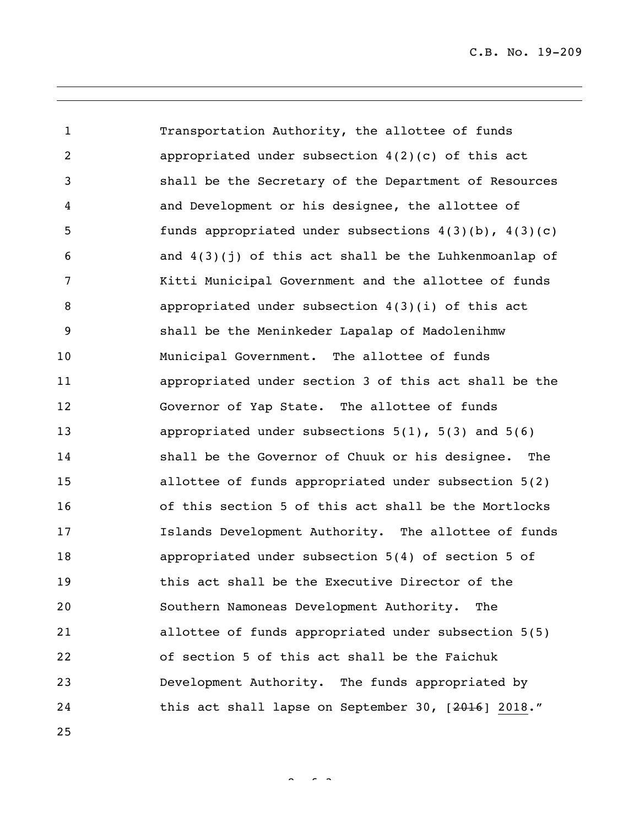Transportation Authority, the allottee of funds appropriated under subsection 4(2)(c) of this act shall be the Secretary of the Department of Resources and Development or his designee, the allottee of funds appropriated under subsections 4(3)(b), 4(3)(c) 6 and  $4(3)(1)$  of this act shall be the Luhkenmoanlap of Kitti Municipal Government and the allottee of funds appropriated under subsection 4(3)(i) of this act shall be the Meninkeder Lapalap of Madolenihmw Municipal Government. The allottee of funds appropriated under section 3 of this act shall be the Governor of Yap State. The allottee of funds appropriated under subsections 5(1), 5(3) and 5(6) shall be the Governor of Chuuk or his designee. The allottee of funds appropriated under subsection 5(2) of this section 5 of this act shall be the Mortlocks Islands Development Authority. The allottee of funds appropriated under subsection 5(4) of section 5 of this act shall be the Executive Director of the Southern Namoneas Development Authority. The allottee of funds appropriated under subsection 5(5) of section 5 of this act shall be the Faichuk Development Authority. The funds appropriated by 24 this act shall lapse on September 30, [2016] 2018."

 $2^{\circ}$